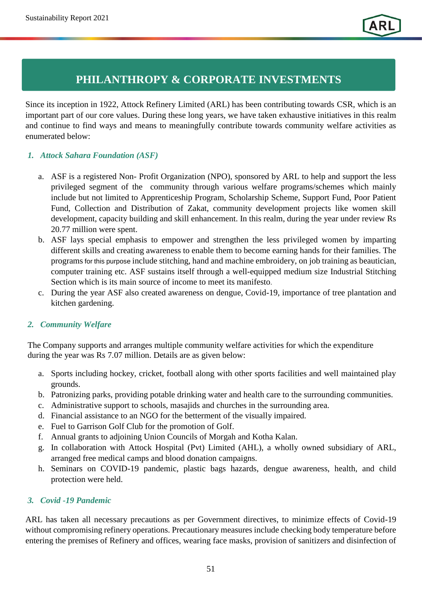*Community Engagement*

# **PHILANTHROPY & CORPORATE INVESTMENTS**

Since its inception in 1922, Attock Refinery Limited (ARL) has been contributing towards CSR, which is an important part of our core values. During these long years, we have taken exhaustive initiatives in this realm and continue to find ways and means to meaningfully contribute towards community welfare activities as enumerated below:

# *1. Attock Sahara Foundation (ASF)*

- a. ASF is a registered Non- Profit Organization (NPO), sponsored by ARL to help and support the less privileged segment of the community through various welfare programs/schemes which mainly include but not limited to Apprenticeship Program, Scholarship Scheme, Support Fund, Poor Patient Fund, Collection and Distribution of Zakat, community development projects like women skill development, capacity building and skill enhancement. In this realm, during the year under review Rs 20.77 million were spent.
- b. ASF lays special emphasis to empower and strengthen the less privileged women by imparting different skills and creating awareness to enable them to become earning hands for their families. The programs for this purpose include stitching, hand and machine embroidery, on job training as beautician, computer training etc. ASF sustains itself through a well-equipped medium size Industrial Stitching Section which is its main source of income to meet its manifesto.
- c. During the year ASF also created awareness on dengue, Covid-19, importance of tree plantation and kitchen gardening.

# *2. Community Welfare*

The Company supports and arranges multiple community welfare activities for which the expenditure during the year was Rs 7.07 million. Details are as given below:

- a. Sports including hockey, cricket, football along with other sports facilities and well maintained play grounds.
- b. Patronizing parks, providing potable drinking water and health care to the surrounding communities.
- c. Administrative support to schools, masajids and churches in the surrounding area.
- d. Financial assistance to an NGO for the betterment of the visually impaired.
- e. Fuel to Garrison Golf Club for the promotion of Golf.
- f. Annual grants to adjoining Union Councils of Morgah and Kotha Kalan.
- g. In collaboration with Attock Hospital (Pvt) Limited (AHL), a wholly owned subsidiary of ARL, arranged free medical camps and blood donation campaigns.
- h. Seminars on COVID-19 pandemic, plastic bags hazards, dengue awareness, health, and child protection were held.

# *3. Covid -19 Pandemic*

ARL has taken all necessary precautions as per Government directives, to minimize effects of Covid-19 without compromising refinery operations. Precautionary measures include checking body temperature before entering the premises of Refinery and offices, wearing face masks, provision of sanitizers and disinfection of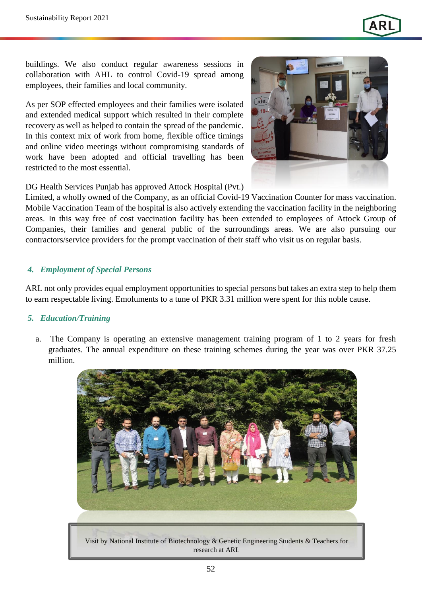

buildings. We also conduct regular awareness sessions in collaboration with AHL to control Covid-19 spread among employees, their families and local community.

As per SOP effected employees and their families were isolated and extended medical support which resulted in their complete recovery as well as helped to contain the spread of the pandemic. In this context mix of work from home, flexible office timings and online video meetings without compromising standards of work have been adopted and official travelling has been restricted to the most essential.



DG Health Services Punjab has approved Attock Hospital (Pvt.)

Limited, a wholly owned of the Company, as an official Covid-19 Vaccination Counter for mass vaccination. Mobile Vaccination Team of the hospital is also actively extending the vaccination facility in the neighboring areas. In this way free of cost vaccination facility has been extended to employees of Attock Group of Companies, their families and general public of the surroundings areas. We are also pursuing our contractors/service providers for the prompt vaccination of their staff who visit us on regular basis.

### *4. Employment of Special Persons*

ARL not only provides equal employment opportunities to special persons but takes an extra step to help them to earn respectable living. Emoluments to a tune of PKR 3.31 million were spent for this noble cause.

### *5. Education/Training*

a. The Company is operating an extensive management training program of 1 to 2 years for fresh graduates. The annual expenditure on these training schemes during the year was over PKR 37.25 million.

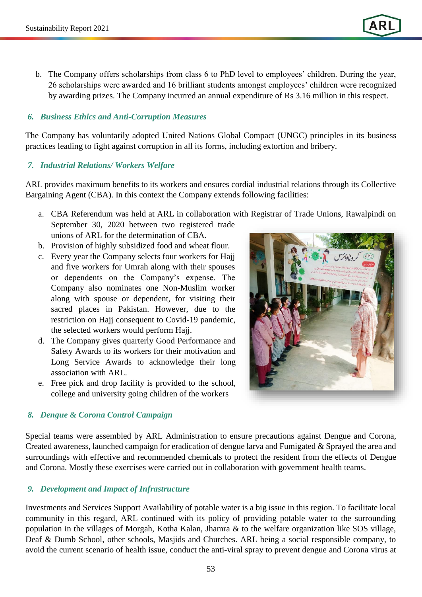b. The Company offers scholarships from class 6 to PhD level to employees' children. During the year, 26 scholarships were awarded and 16 brilliant students amongst employees' children were recognized by awarding prizes. The Company incurred an annual expenditure of Rs 3.16 million in this respect.

#### *6. Business Ethics and Anti-Corruption Measures*

The Company has voluntarily adopted United Nations Global Compact (UNGC) principles in its business practices leading to fight against corruption in all its forms, including extortion and bribery.

#### *7. Industrial Relations/ Workers Welfare*

ARL provides maximum benefits to its workers and ensures cordial industrial relations through its Collective Bargaining Agent (CBA). In this context the Company extends following facilities:

- a. CBA Referendum was held at ARL in collaboration with Registrar of Trade Unions, Rawalpindi on September 30, 2020 between two registered trade unions of ARL for the determination of CBA.
- b. Provision of highly subsidized food and wheat flour.
- c. Every year the Company selects four workers for Hajj and five workers for Umrah along with their spouses or dependents on the Company's expense. The Company also nominates one Non-Muslim worker along with spouse or dependent, for visiting their sacred places in Pakistan. However, due to the restriction on Hajj consequent to Covid-19 pandemic, the selected workers would perform Hajj.
- d. The Company gives quarterly Good Performance and Safety Awards to its workers for their motivation and Long Service Awards to acknowledge their long association with ARL.
- e. Free pick and drop facility is provided to the school, college and university going children of the workers

# *8. Dengue & Corona Control Campaign*

Special teams were assembled by ARL Administration to ensure precautions against Dengue and Corona, Created awareness, launched campaign for eradication of dengue larva and Fumigated & Sprayed the area and surroundings with effective and recommended chemicals to protect the resident from the effects of Dengue and Corona. Mostly these exercises were carried out in collaboration with government health teams.

### *9. Development and Impact of Infrastructure*

Investments and Services Support Availability of potable water is a big issue in this region. To facilitate local community in this regard, ARL continued with its policy of providing potable water to the surrounding population in the villages of Morgah, Kotha Kalan, Jhamra & to the welfare organization like SOS village, Deaf & Dumb School, other schools, Masjids and Churches. ARL being a social responsible company, to avoid the current scenario of health issue, conduct the anti-viral spray to prevent dengue and Corona virus at

53

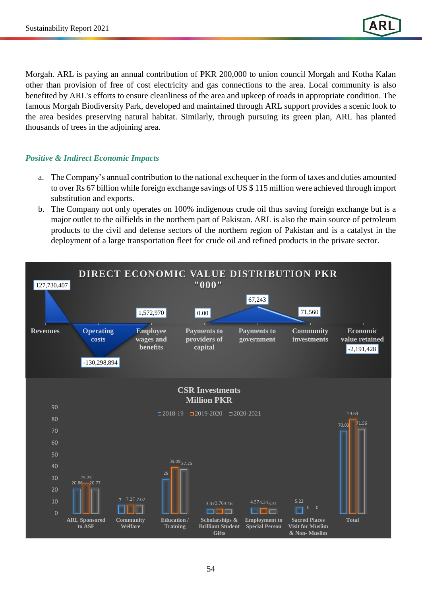Morgah. ARL is paying an annual contribution of PKR 200,000 to union council Morgah and Kotha Kalan other than provision of free of cost electricity and gas connections to the area. Local community is also benefited by ARL's efforts to ensure cleanliness of the area and upkeep of roads in appropriate condition. The famous Morgah Biodiversity Park, developed and maintained through ARL support provides a scenic look to the area besides preserving natural habitat. Similarly, through pursuing its green plan, ARL has planted thousands of trees in the adjoining area.

## *Positive & Indirect Economic Impacts*

- a. The Company's annual contribution to the national exchequer in the form of taxes and duties amounted to over Rs 67 billion while foreign exchange savings of US \$ 115 million were achieved through import substitution and exports.
- b. The Company not only operates on 100% indigenous crude oil thus saving foreign exchange but is a major outlet to the oilfields in the northern part of Pakistan. ARL is also the main source of petroleum products to the civil and defense sectors of the northern region of Pakistan and is a catalyst in the deployment of a large transportation fleet for crude oil and refined products in the private sector.

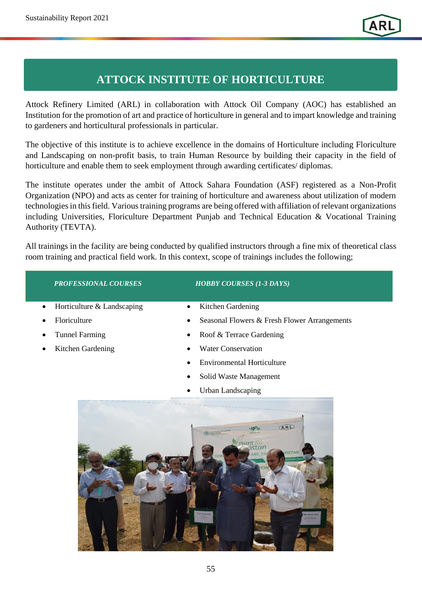*Community Engagement*

# **ATTOCK INSTITUTE OF HORTICULTURE**

Attock Refinery Limited (ARL) in collaboration with Attock Oil Company (AOC) has established an Institution for the promotion of art and practice of horticulture in general and to impart knowledge and training to gardeners and horticultural professionals in particular.

The objective of this institute is to achieve excellence in the domains of Horticulture including Floriculture and Landscaping on non-profit basis, to train Human Resource by building their capacity in the field of horticulture and enable them to seek employment through awarding certificates/ diplomas.

The institute operates under the ambit of Attock Sahara Foundation (ASF) registered as a Non-Profit Organization (NPO) and acts as center for training of horticulture and awareness about utilization of modern technologies in this field. Various training programs are being offered with affiliation of relevant organizations including Universities, Floriculture Department Punjab and Technical Education & Vocational Training Authority (TEVTA).

All trainings in the facility are being conducted by qualified instructors through a fine mix of theoretical class room training and practical field work. In this context, scope of trainings includes the following;

| <b>PROFESSIONAL COURSES</b>             | <b>HOBBY COURSES (1-3 DAYS)</b>                          |
|-----------------------------------------|----------------------------------------------------------|
| Horticulture & Landscaping<br>$\bullet$ | Kitchen Gardening<br>٠                                   |
| Floriculture                            | Seasonal Flowers & Fresh Flower Arrangements<br>٠        |
| <b>Tunnel Farming</b>                   | Roof & Terrace Gardening                                 |
| Kitchen Gardening                       | <b>Water Conservation</b>                                |
|                                         | <b>Environmental Horticulture</b>                        |
|                                         | Solid Waste Management                                   |
|                                         | <b>Urban Landscaping</b><br>$\bullet$                    |
|                                         | TARL<br><b>ISTAN</b><br>AND GR<br><b>REENER PAK</b><br>W |